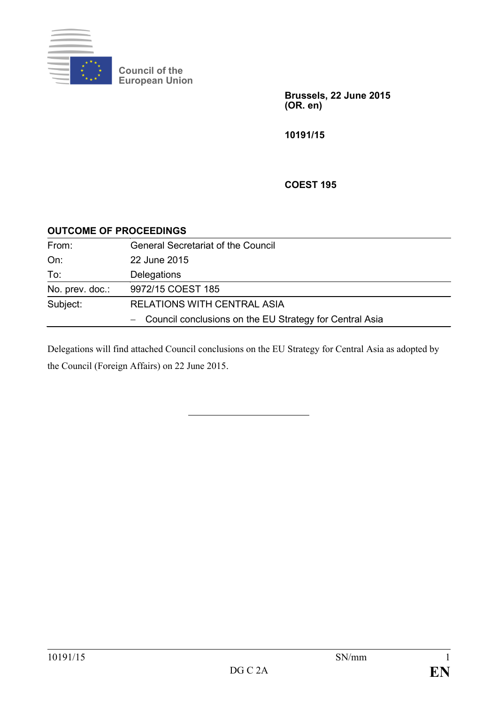

**Council of the European Union**

> **Brussels, 22 June 2015 (OR. en)**

**10191/15**

**COEST 195**

| <b>OUTCOME OF PROCEEDINGS</b> |
|-------------------------------|
|-------------------------------|

| From:           | <b>General Secretariat of the Council</b>                 |
|-----------------|-----------------------------------------------------------|
| On:             | 22 June 2015                                              |
| To:             | Delegations                                               |
| No. prev. doc.: | 9972/15 COEST 185                                         |
| Subject:        | <b>RELATIONS WITH CENTRAL ASIA</b>                        |
|                 | - Council conclusions on the EU Strategy for Central Asia |

Delegations will find attached Council conclusions on the EU Strategy for Central Asia as adopted by the Council (Foreign Affairs) on 22 June 2015.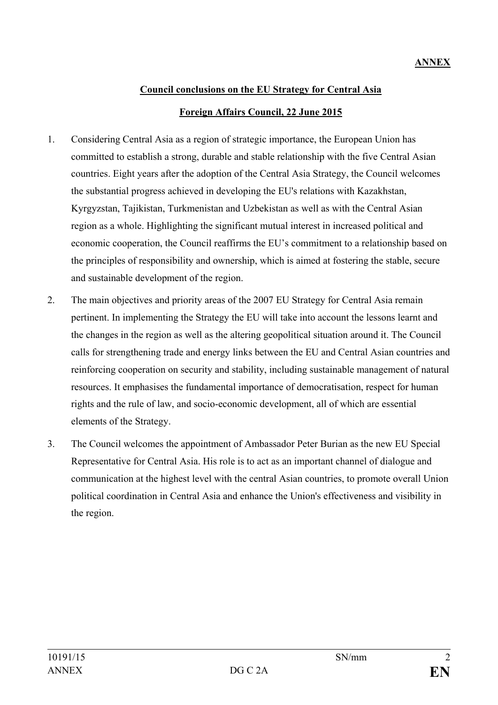## **Council conclusions on the EU Strategy for Central Asia Foreign Affairs Council, 22 June 2015**

- 1. Considering Central Asia as a region of strategic importance, the European Union has committed to establish a strong, durable and stable relationship with the five Central Asian countries. Eight years after the adoption of the Central Asia Strategy, the Council welcomes the substantial progress achieved in developing the EU's relations with Kazakhstan, Kyrgyzstan, Tajikistan, Turkmenistan and Uzbekistan as well as with the Central Asian region as a whole. Highlighting the significant mutual interest in increased political and economic cooperation, the Council reaffirms the EU's commitment to a relationship based on the principles of responsibility and ownership, which is aimed at fostering the stable, secure and sustainable development of the region.
- 2. The main objectives and priority areas of the 2007 EU Strategy for Central Asia remain pertinent. In implementing the Strategy the EU will take into account the lessons learnt and the changes in the region as well as the altering geopolitical situation around it. The Council calls for strengthening trade and energy links between the EU and Central Asian countries and reinforcing cooperation on security and stability, including sustainable management of natural resources. It emphasises the fundamental importance of democratisation, respect for human rights and the rule of law, and socio-economic development, all of which are essential elements of the Strategy.
- 3. The Council welcomes the appointment of Ambassador Peter Burian as the new EU Special Representative for Central Asia. His role is to act as an important channel of dialogue and communication at the highest level with the central Asian countries, to promote overall Union political coordination in Central Asia and enhance the Union's effectiveness and visibility in the region.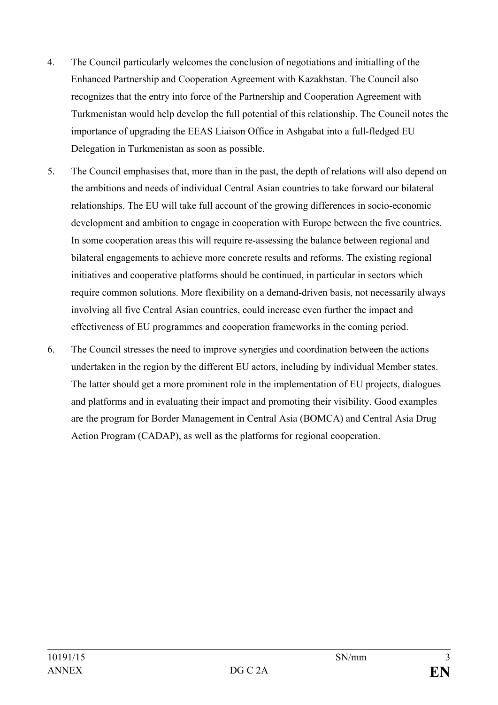- 4. The Council particularly welcomes the conclusion of negotiations and initialling of the Enhanced Partnership and Cooperation Agreement with Kazakhstan. The Council also recognizes that the entry into force of the Partnership and Cooperation Agreement with Turkmenistan would help develop the full potential of this relationship. The Council notes the importance of upgrading the EEAS Liaison Office in Ashgabat into a full-fledged EU Delegation in Turkmenistan as soon as possible.
- 5. The Council emphasises that, more than in the past, the depth of relations will also depend on the ambitions and needs of individual Central Asian countries to take forward our bilateral relationships. The EU will take full account of the growing differences in socio-economic development and ambition to engage in cooperation with Europe between the five countries. In some cooperation areas this will require re-assessing the balance between regional and bilateral engagements to achieve more concrete results and reforms. The existing regional initiatives and cooperative platforms should be continued, in particular in sectors which require common solutions. More flexibility on a demand-driven basis, not necessarily always involving all five Central Asian countries, could increase even further the impact and effectiveness of EU programmes and cooperation frameworks in the coming period.
- 6. The Council stresses the need to improve synergies and coordination between the actions undertaken in the region by the different EU actors, including by individual Member states. The latter should get a more prominent role in the implementation of EU projects, dialogues and platforms and in evaluating their impact and promoting their visibility. Good examples are the program for Border Management in Central Asia (BOMCA) and Central Asia Drug Action Program (CADAP), as well as the platforms for regional cooperation.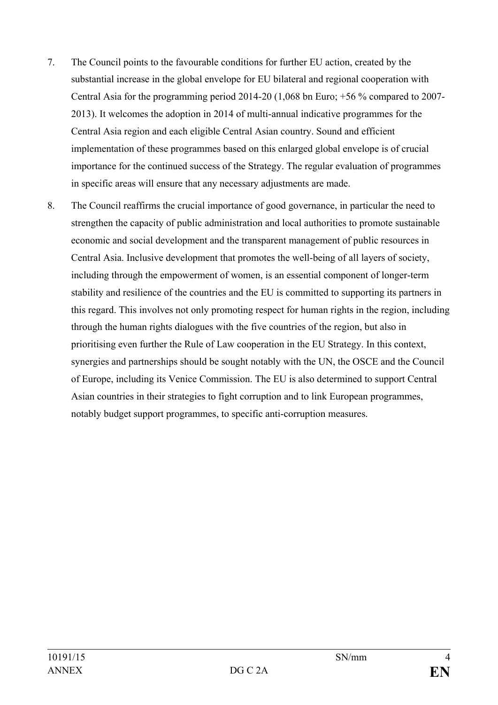- 7. The Council points to the favourable conditions for further EU action, created by the substantial increase in the global envelope for EU bilateral and regional cooperation with Central Asia for the programming period 2014-20 (1,068 bn Euro; +56 % compared to 2007- 2013). It welcomes the adoption in 2014 of multi-annual indicative programmes for the Central Asia region and each eligible Central Asian country. Sound and efficient implementation of these programmes based on this enlarged global envelope is of crucial importance for the continued success of the Strategy. The regular evaluation of programmes in specific areas will ensure that any necessary adjustments are made.
- 8. The Council reaffirms the crucial importance of good governance, in particular the need to strengthen the capacity of public administration and local authorities to promote sustainable economic and social development and the transparent management of public resources in Central Asia. Inclusive development that promotes the well-being of all layers of society, including through the empowerment of women, is an essential component of longer-term stability and resilience of the countries and the EU is committed to supporting its partners in this regard. This involves not only promoting respect for human rights in the region, including through the human rights dialogues with the five countries of the region, but also in prioritising even further the Rule of Law cooperation in the EU Strategy. In this context, synergies and partnerships should be sought notably with the UN, the OSCE and the Council of Europe, including its Venice Commission. The EU is also determined to support Central Asian countries in their strategies to fight corruption and to link European programmes, notably budget support programmes, to specific anti-corruption measures.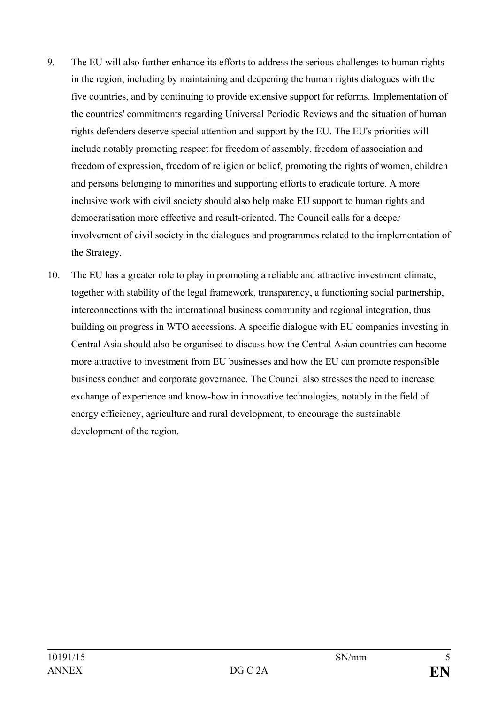- 9. The EU will also further enhance its efforts to address the serious challenges to human rights in the region, including by maintaining and deepening the human rights dialogues with the five countries, and by continuing to provide extensive support for reforms. Implementation of the countries' commitments regarding Universal Periodic Reviews and the situation of human rights defenders deserve special attention and support by the EU. The EU's priorities will include notably promoting respect for freedom of assembly, freedom of association and freedom of expression, freedom of religion or belief, promoting the rights of women, children and persons belonging to minorities and supporting efforts to eradicate torture. A more inclusive work with civil society should also help make EU support to human rights and democratisation more effective and result-oriented. The Council calls for a deeper involvement of civil society in the dialogues and programmes related to the implementation of the Strategy.
- 10. The EU has a greater role to play in promoting a reliable and attractive investment climate, together with stability of the legal framework, transparency, a functioning social partnership, interconnections with the international business community and regional integration, thus building on progress in WTO accessions. A specific dialogue with EU companies investing in Central Asia should also be organised to discuss how the Central Asian countries can become more attractive to investment from EU businesses and how the EU can promote responsible business conduct and corporate governance. The Council also stresses the need to increase exchange of experience and know-how in innovative technologies, notably in the field of energy efficiency, agriculture and rural development, to encourage the sustainable development of the region.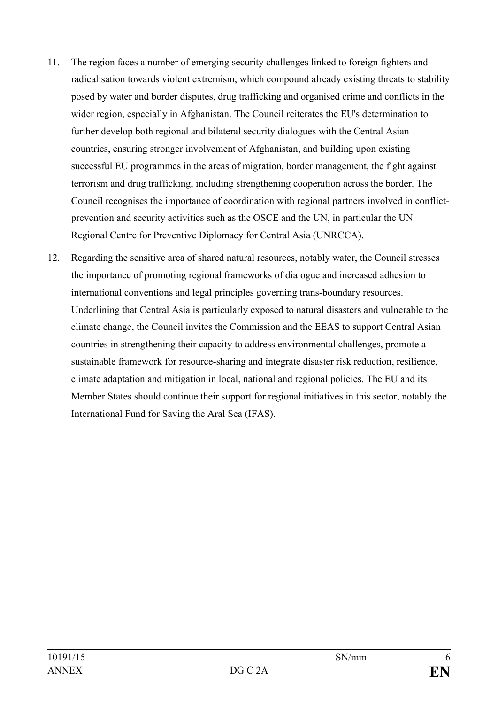- 11. The region faces a number of emerging security challenges linked to foreign fighters and radicalisation towards violent extremism, which compound already existing threats to stability posed by water and border disputes, drug trafficking and organised crime and conflicts in the wider region, especially in Afghanistan. The Council reiterates the EU's determination to further develop both regional and bilateral security dialogues with the Central Asian countries, ensuring stronger involvement of Afghanistan, and building upon existing successful EU programmes in the areas of migration, border management, the fight against terrorism and drug trafficking, including strengthening cooperation across the border. The Council recognises the importance of coordination with regional partners involved in conflictprevention and security activities such as the OSCE and the UN, in particular the UN Regional Centre for Preventive Diplomacy for Central Asia (UNRCCA).
- 12. Regarding the sensitive area of shared natural resources, notably water, the Council stresses the importance of promoting regional frameworks of dialogue and increased adhesion to international conventions and legal principles governing trans-boundary resources. Underlining that Central Asia is particularly exposed to natural disasters and vulnerable to the climate change, the Council invites the Commission and the EEAS to support Central Asian countries in strengthening their capacity to address environmental challenges, promote a sustainable framework for resource-sharing and integrate disaster risk reduction, resilience, climate adaptation and mitigation in local, national and regional policies. The EU and its Member States should continue their support for regional initiatives in this sector, notably the International Fund for Saving the Aral Sea (IFAS).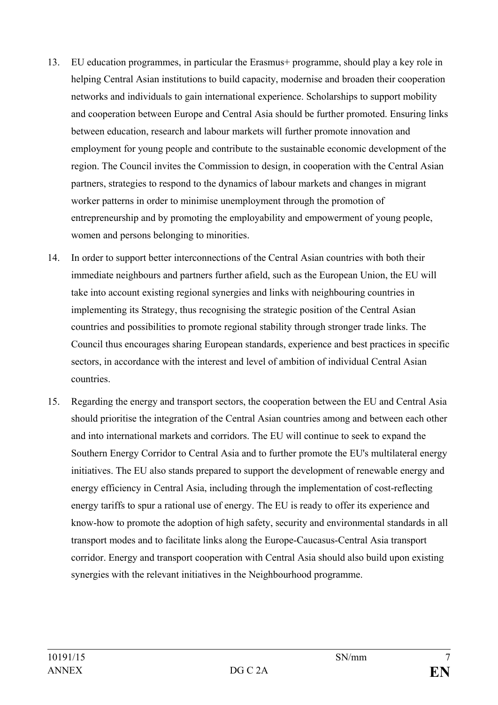- 13. EU education programmes, in particular the Erasmus+ programme, should play a key role in helping Central Asian institutions to build capacity, modernise and broaden their cooperation networks and individuals to gain international experience. Scholarships to support mobility and cooperation between Europe and Central Asia should be further promoted. Ensuring links between education, research and labour markets will further promote innovation and employment for young people and contribute to the sustainable economic development of the region. The Council invites the Commission to design, in cooperation with the Central Asian partners, strategies to respond to the dynamics of labour markets and changes in migrant worker patterns in order to minimise unemployment through the promotion of entrepreneurship and by promoting the employability and empowerment of young people, women and persons belonging to minorities.
- 14. In order to support better interconnections of the Central Asian countries with both their immediate neighbours and partners further afield, such as the European Union, the EU will take into account existing regional synergies and links with neighbouring countries in implementing its Strategy, thus recognising the strategic position of the Central Asian countries and possibilities to promote regional stability through stronger trade links. The Council thus encourages sharing European standards, experience and best practices in specific sectors, in accordance with the interest and level of ambition of individual Central Asian countries.
- 15. Regarding the energy and transport sectors, the cooperation between the EU and Central Asia should prioritise the integration of the Central Asian countries among and between each other and into international markets and corridors. The EU will continue to seek to expand the Southern Energy Corridor to Central Asia and to further promote the EU's multilateral energy initiatives. The EU also stands prepared to support the development of renewable energy and energy efficiency in Central Asia, including through the implementation of cost-reflecting energy tariffs to spur a rational use of energy. The EU is ready to offer its experience and know-how to promote the adoption of high safety, security and environmental standards in all transport modes and to facilitate links along the Europe-Caucasus-Central Asia transport corridor. Energy and transport cooperation with Central Asia should also build upon existing synergies with the relevant initiatives in the Neighbourhood programme.